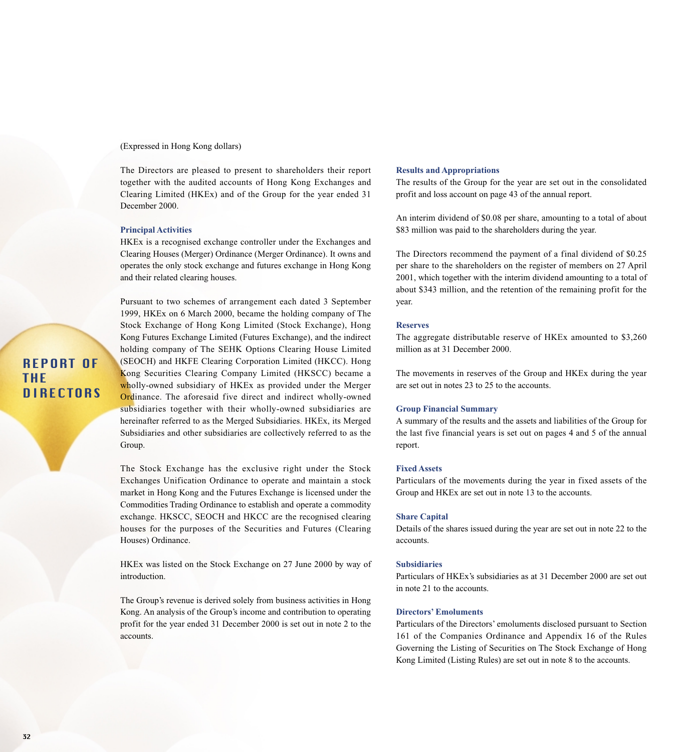(Expressed in Hong Kong dollars)

The Directors are pleased to present to shareholders their report together with the audited accounts of Hong Kong Exchanges and Clearing Limited (HKEx) and of the Group for the year ended 31 December 2000.

#### **Principal Activities**

HKEx is a recognised exchange controller under the Exchanges and Clearing Houses (Merger) Ordinance (Merger Ordinance). It owns and operates the only stock exchange and futures exchange in Hong Kong and their related clearing houses.

Pursuant to two schemes of arrangement each dated 3 September 1999, HKEx on 6 March 2000, became the holding company of The Stock Exchange of Hong Kong Limited (Stock Exchange), Hong Kong Futures Exchange Limited (Futures Exchange), and the indirect holding company of The SEHK Options Clearing House Limited (SEOCH) and HKFE Clearing Corporation Limited (HKCC). Hong Kong Securities Clearing Company Limited (HKSCC) became a wholly-owned subsidiary of HKE<sub>x</sub> as provided under the Merger Ordinance. The aforesaid five direct and indirect wholly-owned subsidiaries together with their wholly-owned subsidiaries are hereinafter referred to as the Merged Subsidiaries. HKEx, its Merged Subsidiaries and other subsidiaries are collectively referred to as the Group.

The Stock Exchange has the exclusive right under the Stock Exchanges Unification Ordinance to operate and maintain a stock market in Hong Kong and the Futures Exchange is licensed under the Commodities Trading Ordinance to establish and operate a commodity exchange. HKSCC, SEOCH and HKCC are the recognised clearing houses for the purposes of the Securities and Futures (Clearing Houses) Ordinance.

HKEx was listed on the Stock Exchange on 27 June 2000 by way of introduction.

The Group's revenue is derived solely from business activities in Hong Kong. An analysis of the Group's income and contribution to operating profit for the year ended 31 December 2000 is set out in note 2 to the accounts.

## **Results and Appropriations**

The results of the Group for the year are set out in the consolidated profit and loss account on page 43 of the annual report.

An interim dividend of \$0.08 per share, amounting to a total of about \$83 million was paid to the shareholders during the year.

The Directors recommend the payment of a final dividend of \$0.25 per share to the shareholders on the register of members on 27 April 2001, which together with the interim dividend amounting to a total of about \$343 million, and the retention of the remaining profit for the year.

### **Reserves**

The aggregate distributable reserve of HKEx amounted to \$3,260 million as at 31 December 2000.

The movements in reserves of the Group and HKEx during the year are set out in notes 23 to 25 to the accounts.

## **Group Financial Summary**

A summary of the results and the assets and liabilities of the Group for the last five financial years is set out on pages 4 and 5 of the annual report.

## **Fixed Assets**

Particulars of the movements during the year in fixed assets of the Group and HKEx are set out in note 13 to the accounts.

### **Share Capital**

Details of the shares issued during the year are set out in note 22 to the accounts.

# **Subsidiaries**

Particulars of HKEx's subsidiaries as at 31 December 2000 are set out in note 21 to the accounts.

## **Directors' Emoluments**

Particulars of the Directors' emoluments disclosed pursuant to Section 161 of the Companies Ordinance and Appendix 16 of the Rules Governing the Listing of Securities on The Stock Exchange of Hong Kong Limited (Listing Rules) are set out in note 8 to the accounts.

# REPORT OF THE **DIRECTORS**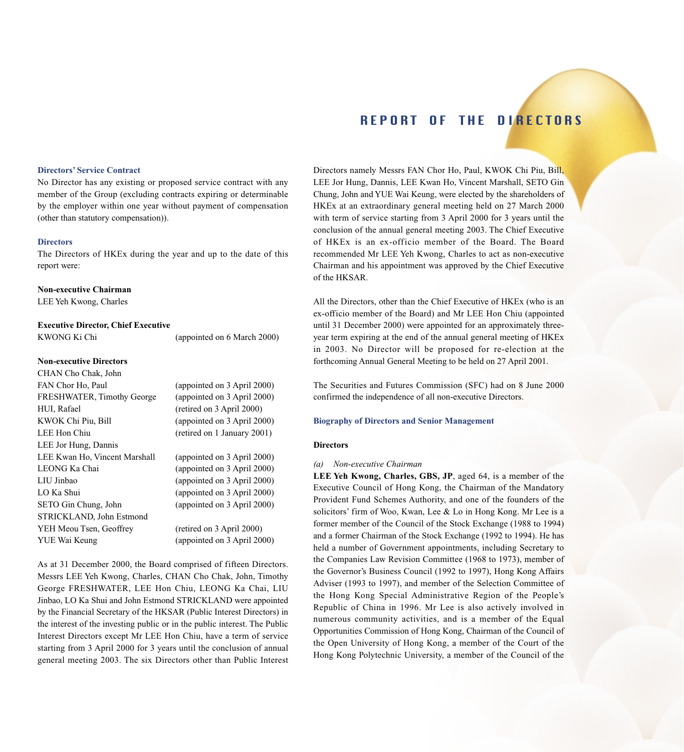## **Directors' Service Contract**

No Director has any existing or proposed service contract with any member of the Group (excluding contracts expiring or determinable by the employer within one year without payment of compensation (other than statutory compensation)).

#### **Directors**

The Directors of HKEx during the year and up to the date of this report were:

## **Non-executive Chairman**

LEE Yeh Kwong, Charles

#### **Executive Director, Chief Executive**

KWONG Ki Chi (appointed on 6 March 2000)

# **Non-executive Directors**

| CHAN Cho Chak, John           |                             |
|-------------------------------|-----------------------------|
| FAN Chor Ho, Paul             | (appointed on 3 April 2000) |
| FRESHWATER, Timothy George    | (appointed on 3 April 2000) |
| HUI, Rafael                   | (retired on 3 April 2000)   |
| KWOK Chi Piu, Bill            | (appointed on 3 April 2000) |
| LEE Hon Chiu                  | (retired on 1 January 2001) |
| LEE Jor Hung, Dannis          |                             |
| LEE Kwan Ho, Vincent Marshall | (appointed on 3 April 2000) |
| LEONG Ka Chai                 | (appointed on 3 April 2000) |
| LIU Jinbao                    | (appointed on 3 April 2000) |
| LO Ka Shui                    | (appointed on 3 April 2000) |
| SETO Gin Chung, John          | (appointed on 3 April 2000) |
| STRICKLAND, John Estmond      |                             |
| YEH Meou Tsen, Geoffrey       | (retired on 3 April 2000)   |
| YUE Wai Keung                 | (appointed on 3 April 2000) |

As at 31 December 2000, the Board comprised of fifteen Directors. Messrs LEE Yeh Kwong, Charles, CHAN Cho Chak, John, Timothy George FRESHWATER, LEE Hon Chiu, LEONG Ka Chai, LIU Jinbao, LO Ka Shui and John Estmond STRICKLAND were appointed by the Financial Secretary of the HKSAR (Public Interest Directors) in the interest of the investing public or in the public interest. The Public Interest Directors except Mr LEE Hon Chiu, have a term of service starting from 3 April 2000 for 3 years until the conclusion of annual general meeting 2003. The six Directors other than Public Interest Directors namely Messrs FAN Chor Ho, Paul, KWOK Chi Piu, Bill, LEE Jor Hung, Dannis, LEE Kwan Ho, Vincent Marshall, SETO Gin Chung, John and YUE Wai Keung, were elected by the shareholders of HKEx at an extraordinary general meeting held on 27 March 2000 with term of service starting from 3 April 2000 for 3 years until the conclusion of the annual general meeting 2003. The Chief Executive of HKEx is an ex-officio member of the Board. The Board recommended Mr LEE Yeh Kwong, Charles to act as non-executive Chairman and his appointment was approved by the Chief Executive of the HKSAR.

All the Directors, other than the Chief Executive of HKEx (who is an ex-officio member of the Board) and Mr LEE Hon Chiu (appointed until 31 December 2000) were appointed for an approximately threeyear term expiring at the end of the annual general meeting of HKEx in 2003. No Director will be proposed for re-election at the forthcoming Annual General Meeting to be held on 27 April 2001.

The Securities and Futures Commission (SFC) had on 8 June 2000 confirmed the independence of all non-executive Directors.

## **Biography of Directors and Senior Management**

### **Directors**

## *(a) Non-executive Chairman*

**LEE Yeh Kwong, Charles, GBS, JP**, aged 64, is a member of the Executive Council of Hong Kong, the Chairman of the Mandatory Provident Fund Schemes Authority, and one of the founders of the solicitors' firm of Woo, Kwan, Lee & Lo in Hong Kong. Mr Lee is a former member of the Council of the Stock Exchange (1988 to 1994) and a former Chairman of the Stock Exchange (1992 to 1994). He has held a number of Government appointments, including Secretary to the Companies Law Revision Committee (1968 to 1973), member of the Governor's Business Council (1992 to 1997), Hong Kong Affairs Adviser (1993 to 1997), and member of the Selection Committee of the Hong Kong Special Administrative Region of the People's Republic of China in 1996. Mr Lee is also actively involved in numerous community activities, and is a member of the Equal Opportunities Commission of Hong Kong, Chairman of the Council of the Open University of Hong Kong, a member of the Court of the Hong Kong Polytechnic University, a member of the Council of the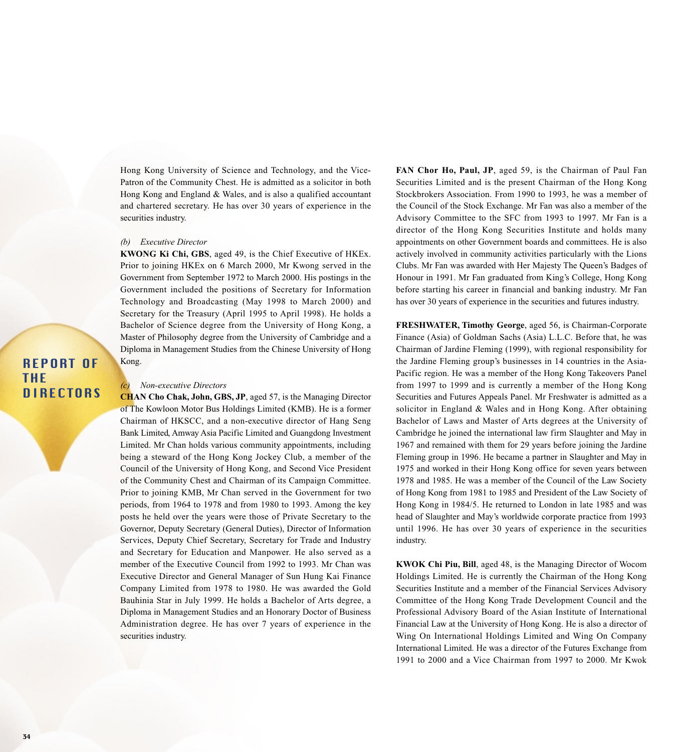Hong Kong University of Science and Technology, and the Vice-Patron of the Community Chest. He is admitted as a solicitor in both Hong Kong and England & Wales, and is also a qualified accountant and chartered secretary. He has over 30 years of experience in the securities industry.

### *(b) Executive Director*

**KWONG Ki Chi, GBS**, aged 49, is the Chief Executive of HKEx. Prior to joining HKEx on 6 March 2000, Mr Kwong served in the Government from September 1972 to March 2000. His postings in the Government included the positions of Secretary for Information Technology and Broadcasting (May 1998 to March 2000) and Secretary for the Treasury (April 1995 to April 1998). He holds a Bachelor of Science degree from the University of Hong Kong, a Master of Philosophy degree from the University of Cambridge and a Diploma in Management Studies from the Chinese University of Hong Kong.

REPORT OF THE **DIRECTORS** 

### $Non-executive$  *Directors*

**CHAN Cho Chak, John, GBS, JP**, aged 57, is the Managing Director of The Kowloon Motor Bus Holdings Limited (KMB). He is a former Chairman of HKSCC, and a non-executive director of Hang Seng Bank Limited, Amway Asia Pacific Limited and Guangdong Investment Limited. Mr Chan holds various community appointments, including being a steward of the Hong Kong Jockey Club, a member of the Council of the University of Hong Kong, and Second Vice President of the Community Chest and Chairman of its Campaign Committee. Prior to joining KMB, Mr Chan served in the Government for two periods, from 1964 to 1978 and from 1980 to 1993. Among the key posts he held over the years were those of Private Secretary to the Governor, Deputy Secretary (General Duties), Director of Information Services, Deputy Chief Secretary, Secretary for Trade and Industry and Secretary for Education and Manpower. He also served as a member of the Executive Council from 1992 to 1993. Mr Chan was Executive Director and General Manager of Sun Hung Kai Finance Company Limited from 1978 to 1980. He was awarded the Gold Bauhinia Star in July 1999. He holds a Bachelor of Arts degree, a Diploma in Management Studies and an Honorary Doctor of Business Administration degree. He has over 7 years of experience in the securities industry.

**FAN Chor Ho, Paul, JP**, aged 59, is the Chairman of Paul Fan Securities Limited and is the present Chairman of the Hong Kong Stockbrokers Association. From 1990 to 1993, he was a member of the Council of the Stock Exchange. Mr Fan was also a member of the Advisory Committee to the SFC from 1993 to 1997. Mr Fan is a director of the Hong Kong Securities Institute and holds many appointments on other Government boards and committees. He is also actively involved in community activities particularly with the Lions Clubs. Mr Fan was awarded with Her Majesty The Queen's Badges of Honour in 1991. Mr Fan graduated from King's College, Hong Kong before starting his career in financial and banking industry. Mr Fan has over 30 years of experience in the securities and futures industry.

**FRESHWATER, Timothy George**, aged 56, is Chairman-Corporate Finance (Asia) of Goldman Sachs (Asia) L.L.C. Before that, he was Chairman of Jardine Fleming (1999), with regional responsibility for the Jardine Fleming group's businesses in 14 countries in the Asia-Pacific region. He was a member of the Hong Kong Takeovers Panel from 1997 to 1999 and is currently a member of the Hong Kong Securities and Futures Appeals Panel. Mr Freshwater is admitted as a solicitor in England & Wales and in Hong Kong. After obtaining Bachelor of Laws and Master of Arts degrees at the University of Cambridge he joined the international law firm Slaughter and May in 1967 and remained with them for 29 years before joining the Jardine Fleming group in 1996. He became a partner in Slaughter and May in 1975 and worked in their Hong Kong office for seven years between 1978 and 1985. He was a member of the Council of the Law Society of Hong Kong from 1981 to 1985 and President of the Law Society of Hong Kong in 1984/5. He returned to London in late 1985 and was head of Slaughter and May's worldwide corporate practice from 1993 until 1996. He has over 30 years of experience in the securities industry.

**KWOK Chi Piu, Bill**, aged 48, is the Managing Director of Wocom Holdings Limited. He is currently the Chairman of the Hong Kong Securities Institute and a member of the Financial Services Advisory Committee of the Hong Kong Trade Development Council and the Professional Advisory Board of the Asian Institute of International Financial Law at the University of Hong Kong. He is also a director of Wing On International Holdings Limited and Wing On Company International Limited. He was a director of the Futures Exchange from 1991 to 2000 and a Vice Chairman from 1997 to 2000. Mr Kwok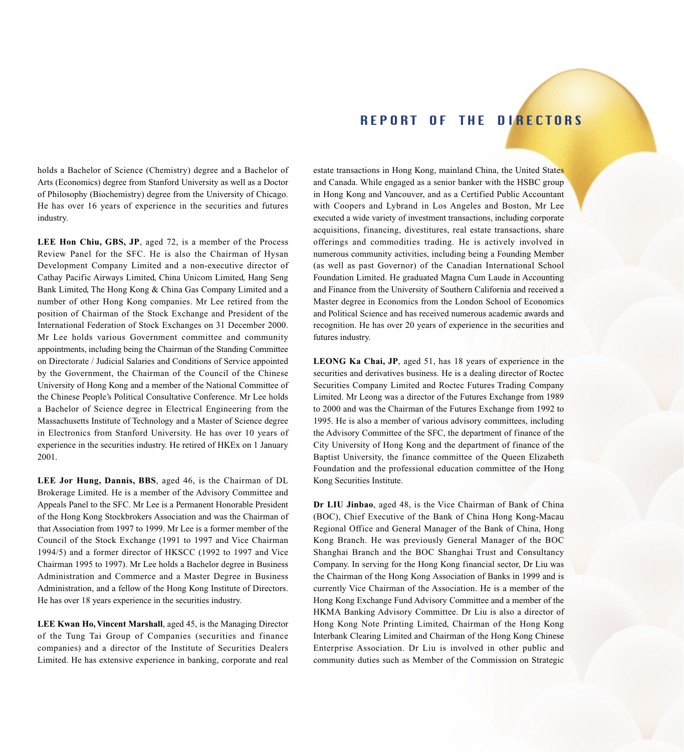holds a Bachelor of Science (Chemistry) degree and a Bachelor of Arts (Economics) degree from Stanford University as well as a Doctor of Philosophy (Biochemistry) degree from the University of Chicago. He has over 16 years of experience in the securities and futures industry.

**LEE Hon Chiu, GBS, JP**, aged 72, is a member of the Process Review Panel for the SFC. He is also the Chairman of Hysan Development Company Limited and a non-executive director of Cathay Pacific Airways Limited, China Unicom Limited, Hang Seng Bank Limited, The Hong Kong & China Gas Company Limited and a number of other Hong Kong companies. Mr Lee retired from the position of Chairman of the Stock Exchange and President of the International Federation of Stock Exchanges on 31 December 2000. Mr Lee holds various Government committee and community appointments, including being the Chairman of the Standing Committee on Directorate / Judicial Salaries and Conditions of Service appointed by the Government, the Chairman of the Council of the Chinese University of Hong Kong and a member of the National Committee of the Chinese People's Political Consultative Conference. Mr Lee holds a Bachelor of Science degree in Electrical Engineering from the Massachusetts Institute of Technology and a Master of Science degree in Electronics from Stanford University. He has over 10 years of experience in the securities industry. He retired of HKEx on 1 January 2001.

**LEE Jor Hung, Dannis, BBS**, aged 46, is the Chairman of DL Brokerage Limited. He is a member of the Advisory Committee and Appeals Panel to the SFC. Mr Lee is a Permanent Honorable President of the Hong Kong Stockbrokers Association and was the Chairman of that Association from 1997 to 1999. Mr Lee is a former member of the Council of the Stock Exchange (1991 to 1997 and Vice Chairman 1994/5) and a former director of HKSCC (1992 to 1997 and Vice Chairman 1995 to 1997). Mr Lee holds a Bachelor degree in Business Administration and Commerce and a Master Degree in Business Administration, and a fellow of the Hong Kong Institute of Directors. He has over 18 years experience in the securities industry.

**LEE Kwan Ho, Vincent Marshall**, aged 45, is the Managing Director of the Tung Tai Group of Companies (securities and finance companies) and a director of the Institute of Securities Dealers Limited. He has extensive experience in banking, corporate and real

estate transactions in Hong Kong, mainland China, the United States and Canada. While engaged as a senior banker with the HSBC group in Hong Kong and Vancouver, and as a Certified Public Accountant with Coopers and Lybrand in Los Angeles and Boston, Mr Lee executed a wide variety of investment transactions, including corporate acquisitions, financing, divestitures, real estate transactions, share offerings and commodities trading. He is actively involved in numerous community activities, including being a Founding Member (as well as past Governor) of the Canadian International School Foundation Limited. He graduated Magna Cum Laude in Accounting and Finance from the University of Southern California and received a Master degree in Economics from the London School of Economics and Political Science and has received numerous academic awards and recognition. He has over 20 years of experience in the securities and futures industry.

**LEONG Ka Chai, JP**, aged 51, has 18 years of experience in the securities and derivatives business. He is a dealing director of Roctec Securities Company Limited and Roctec Futures Trading Company Limited. Mr Leong was a director of the Futures Exchange from 1989 to 2000 and was the Chairman of the Futures Exchange from 1992 to 1995. He is also a member of various advisory committees, including the Advisory Committee of the SFC, the department of finance of the City University of Hong Kong and the department of finance of the Baptist University, the finance committee of the Queen Elizabeth Foundation and the professional education committee of the Hong Kong Securities Institute.

**Dr LIU Jinbao**, aged 48, is the Vice Chairman of Bank of China (BOC), Chief Executive of the Bank of China Hong Kong-Macau Regional Office and General Manager of the Bank of China, Hong Kong Branch. He was previously General Manager of the BOC Shanghai Branch and the BOC Shanghai Trust and Consultancy Company. In serving for the Hong Kong financial sector, Dr Liu was the Chairman of the Hong Kong Association of Banks in 1999 and is currently Vice Chairman of the Association. He is a member of the Hong Kong Exchange Fund Advisory Committee and a member of the HKMA Banking Advisory Committee. Dr Liu is also a director of Hong Kong Note Printing Limited, Chairman of the Hong Kong Interbank Clearing Limited and Chairman of the Hong Kong Chinese Enterprise Association. Dr Liu is involved in other public and community duties such as Member of the Commission on Strategic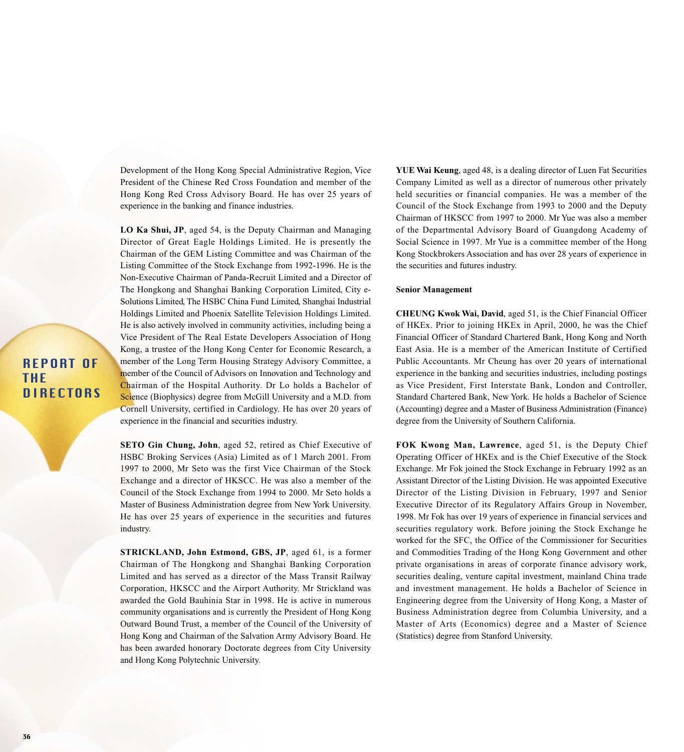Development of the Hong Kong Special Administrative Region, Vice President of the Chinese Red Cross Foundation and member of the Hong Kong Red Cross Advisory Board. He has over 25 years of experience in the banking and finance industries.

**LO Ka Shui, JP**, aged 54, is the Deputy Chairman and Managing Director of Great Eagle Holdings Limited. He is presently the Chairman of the GEM Listing Committee and was Chairman of the Listing Committee of the Stock Exchange from 1992-1996. He is the Non-Executive Chairman of Panda-Recruit Limited and a Director of The Hongkong and Shanghai Banking Corporation Limited, City e-Solutions Limited, The HSBC China Fund Limited, Shanghai Industrial Holdings Limited and Phoenix Satellite Television Holdings Limited. He is also actively involved in community activities, including being a Vice President of The Real Estate Developers Association of Hong Kong, a trustee of the Hong Kong Center for Economic Research, a member of the Long Term Housing Strategy Advisory Committee, a member of the Council of Advisors on Innovation and Technology and Chairman of the Hospital Authority. Dr Lo holds a Bachelor of Science (Biophysics) degree from McGill University and a M.D. from Cornell University, certified in Cardiology. He has over 20 years of experience in the financial and securities industry.

**SETO Gin Chung, John**, aged 52, retired as Chief Executive of HSBC Broking Services (Asia) Limited as of 1 March 2001. From 1997 to 2000, Mr Seto was the first Vice Chairman of the Stock Exchange and a director of HKSCC. He was also a member of the Council of the Stock Exchange from 1994 to 2000. Mr Seto holds a Master of Business Administration degree from New York University. He has over 25 years of experience in the securities and futures industry.

**STRICKLAND, John Estmond, GBS, JP**, aged 61, is a former Chairman of The Hongkong and Shanghai Banking Corporation Limited and has served as a director of the Mass Transit Railway Corporation, HKSCC and the Airport Authority. Mr Strickland was awarded the Gold Bauhinia Star in 1998. He is active in numerous community organisations and is currently the President of Hong Kong Outward Bound Trust, a member of the Council of the University of Hong Kong and Chairman of the Salvation Army Advisory Board. He has been awarded honorary Doctorate degrees from City University and Hong Kong Polytechnic University.

**YUE Wai Keung**, aged 48, is a dealing director of Luen Fat Securities Company Limited as well as a director of numerous other privately held securities or financial companies. He was a member of the Council of the Stock Exchange from 1993 to 2000 and the Deputy Chairman of HKSCC from 1997 to 2000. Mr Yue was also a member of the Departmental Advisory Board of Guangdong Academy of Social Science in 1997. Mr Yue is a committee member of the Hong Kong Stockbrokers Association and has over 28 years of experience in the securities and futures industry.

### **Senior Management**

**CHEUNG Kwok Wai, David**, aged 51, is the Chief Financial Officer of HKEx. Prior to joining HKEx in April, 2000, he was the Chief Financial Officer of Standard Chartered Bank, Hong Kong and North East Asia. He is a member of the American Institute of Certified Public Accountants. Mr Cheung has over 20 years of international experience in the banking and securities industries, including postings as Vice President, First Interstate Bank, London and Controller, Standard Chartered Bank, New York. He holds a Bachelor of Science (Accounting) degree and a Master of Business Administration (Finance) degree from the University of Southern California.

**FOK Kwong Man, Lawrence**, aged 51, is the Deputy Chief Operating Officer of HKEx and is the Chief Executive of the Stock Exchange. Mr Fok joined the Stock Exchange in February 1992 as an Assistant Director of the Listing Division. He was appointed Executive Director of the Listing Division in February, 1997 and Senior Executive Director of its Regulatory Affairs Group in November, 1998. Mr Fok has over 19 years of experience in financial services and securities regulatory work. Before joining the Stock Exchange he worked for the SFC, the Office of the Commissioner for Securities and Commodities Trading of the Hong Kong Government and other private organisations in areas of corporate finance advisory work, securities dealing, venture capital investment, mainland China trade and investment management. He holds a Bachelor of Science in Engineering degree from the University of Hong Kong, a Master of Business Administration degree from Columbia University, and a Master of Arts (Economics) degree and a Master of Science (Statistics) degree from Stanford University.

# REPORT OF THE **DIRECTORS**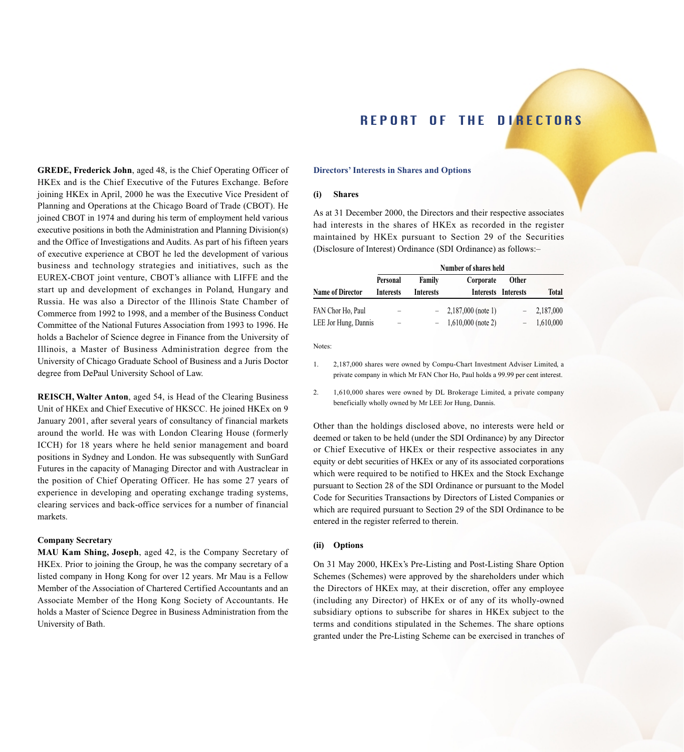**Directors' Interests in Shares and Options**

### **(i) Shares**

As at 31 December 2000, the Directors and their respective associates had interests in the shares of HKEx as recorded in the register maintained by HKEx pursuant to Section 29 of the Securities (Disclosure of Interest) Ordinance (SDI Ordinance) as follows:–

|                         | Number of shares held        |                                          |                       |                                     |              |  |
|-------------------------|------------------------------|------------------------------------------|-----------------------|-------------------------------------|--------------|--|
| <b>Name of Director</b> | Personal<br><b>Interests</b> | Family<br><i><u><b>Interests</b></u></i> | Corporate             | <b>Other</b><br>Interests Interests | <b>Total</b> |  |
| FAN Chor Ho, Paul       |                              |                                          | $-2,187,000$ (note 1) |                                     | $-2,187,000$ |  |
| LEE Jor Hung, Dannis    |                              |                                          | $1,610,000$ (note 2)  |                                     | 1,610,000    |  |

Notes:

1. 2,187,000 shares were owned by Compu-Chart Investment Adviser Limited, a private company in which Mr FAN Chor Ho, Paul holds a 99.99 per cent interest.

2. 1,610,000 shares were owned by DL Brokerage Limited, a private company beneficially wholly owned by Mr LEE Jor Hung, Dannis.

Other than the holdings disclosed above, no interests were held or deemed or taken to be held (under the SDI Ordinance) by any Director or Chief Executive of HKEx or their respective associates in any equity or debt securities of HKEx or any of its associated corporations which were required to be notified to HKEx and the Stock Exchange pursuant to Section 28 of the SDI Ordinance or pursuant to the Model Code for Securities Transactions by Directors of Listed Companies or which are required pursuant to Section 29 of the SDI Ordinance to be entered in the register referred to therein.

### **(ii) Options**

On 31 May 2000, HKEx's Pre-Listing and Post-Listing Share Option Schemes (Schemes) were approved by the shareholders under which the Directors of HKEx may, at their discretion, offer any employee (including any Director) of HKEx or of any of its wholly-owned subsidiary options to subscribe for shares in HKEx subject to the terms and conditions stipulated in the Schemes. The share options granted under the Pre-Listing Scheme can be exercised in tranches of

**GREDE, Frederick John**, aged 48, is the Chief Operating Officer of HKEx and is the Chief Executive of the Futures Exchange. Before joining HKEx in April, 2000 he was the Executive Vice President of Planning and Operations at the Chicago Board of Trade (CBOT). He joined CBOT in 1974 and during his term of employment held various executive positions in both the Administration and Planning Division(s) and the Office of Investigations and Audits. As part of his fifteen years of executive experience at CBOT he led the development of various business and technology strategies and initiatives, such as the EUREX-CBOT joint venture, CBOT's alliance with LIFFE and the start up and development of exchanges in Poland, Hungary and Russia. He was also a Director of the Illinois State Chamber of Commerce from 1992 to 1998, and a member of the Business Conduct Committee of the National Futures Association from 1993 to 1996. He holds a Bachelor of Science degree in Finance from the University of Illinois, a Master of Business Administration degree from the University of Chicago Graduate School of Business and a Juris Doctor degree from DePaul University School of Law.

**REISCH, Walter Anton**, aged 54, is Head of the Clearing Business Unit of HKEx and Chief Executive of HKSCC. He joined HKEx on 9 January 2001, after several years of consultancy of financial markets around the world. He was with London Clearing House (formerly ICCH) for 18 years where he held senior management and board positions in Sydney and London. He was subsequently with SunGard Futures in the capacity of Managing Director and with Austraclear in the position of Chief Operating Officer. He has some 27 years of experience in developing and operating exchange trading systems, clearing services and back-office services for a number of financial markets.

## **Company Secretary**

**MAU Kam Shing, Joseph**, aged 42, is the Company Secretary of HKEx. Prior to joining the Group, he was the company secretary of a listed company in Hong Kong for over 12 years. Mr Mau is a Fellow Member of the Association of Chartered Certified Accountants and an Associate Member of the Hong Kong Society of Accountants. He holds a Master of Science Degree in Business Administration from the University of Bath.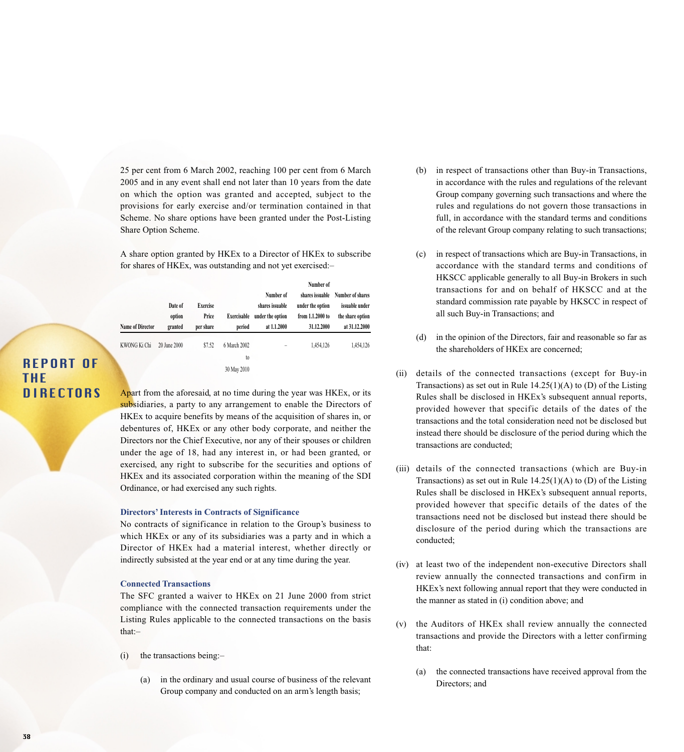25 per cent from 6 March 2002, reaching 100 per cent from 6 March 2005 and in any event shall end not later than 10 years from the date on which the option was granted and accepted, subject to the provisions for early exercise and/or termination contained in that Scheme. No share options have been granted under the Post-Listing Share Option Scheme.

A share option granted by HKEx to a Director of HKEx to subscribe for shares of HKEx, was outstanding and not yet exercised:–

| <b>Name of Director</b> | Date of<br>option<br>granted | <b>Exercise</b><br>Price<br>per share | Exercisable<br>period | Number of<br>shares issuable<br>under the option<br>at 1.1.2000 | Number of<br>shares issuable<br>under the option<br>from 1.1.2000 to<br>31.12.2000 | Number of shares<br>issuable under<br>the share option<br>at 31.12.2000 |
|-------------------------|------------------------------|---------------------------------------|-----------------------|-----------------------------------------------------------------|------------------------------------------------------------------------------------|-------------------------------------------------------------------------|
| KWONG Ki Chi            | 20 June 2000                 | \$7.52                                | 6 March 2002          | -                                                               | 1,454,126                                                                          | 1,454,126                                                               |
|                         |                              |                                       | to                    |                                                                 |                                                                                    |                                                                         |
|                         |                              |                                       | 30 May 2010           |                                                                 |                                                                                    |                                                                         |

# REPORT OF THE **DIRECTORS**

Apart from the aforesaid, at no time during the year was HKEx, or its subsidiaries, a party to any arrangement to enable the Directors of HKEx to acquire benefits by means of the acquisition of shares in, or debentures of, HKEx or any other body corporate, and neither the Directors nor the Chief Executive, nor any of their spouses or children under the age of 18, had any interest in, or had been granted, or exercised, any right to subscribe for the securities and options of HKEx and its associated corporation within the meaning of the SDI Ordinance, or had exercised any such rights.

#### **Directors' Interests in Contracts of Significance**

No contracts of significance in relation to the Group's business to which HKEx or any of its subsidiaries was a party and in which a Director of HKEx had a material interest, whether directly or indirectly subsisted at the year end or at any time during the year.

### **Connected Transactions**

The SFC granted a waiver to HKEx on 21 June 2000 from strict compliance with the connected transaction requirements under the Listing Rules applicable to the connected transactions on the basis that:–

- (i) the transactions being:–
	- (a) in the ordinary and usual course of business of the relevant Group company and conducted on an arm's length basis;
- (b) in respect of transactions other than Buy-in Transactions, in accordance with the rules and regulations of the relevant Group company governing such transactions and where the rules and regulations do not govern those transactions in full, in accordance with the standard terms and conditions of the relevant Group company relating to such transactions;
- (c) in respect of transactions which are Buy-in Transactions, in accordance with the standard terms and conditions of HKSCC applicable generally to all Buy-in Brokers in such transactions for and on behalf of HKSCC and at the standard commission rate payable by HKSCC in respect of all such Buy-in Transactions; and
- (d) in the opinion of the Directors, fair and reasonable so far as the shareholders of HKEx are concerned;
- (ii) details of the connected transactions (except for Buy-in Transactions) as set out in Rule  $14.25(1)(A)$  to (D) of the Listing Rules shall be disclosed in HKEx's subsequent annual reports, provided however that specific details of the dates of the transactions and the total consideration need not be disclosed but instead there should be disclosure of the period during which the transactions are conducted;
- (iii) details of the connected transactions (which are Buy-in Transactions) as set out in Rule  $14.25(1)(A)$  to (D) of the Listing Rules shall be disclosed in HKEx's subsequent annual reports, provided however that specific details of the dates of the transactions need not be disclosed but instead there should be disclosure of the period during which the transactions are conducted;
- (iv) at least two of the independent non-executive Directors shall review annually the connected transactions and confirm in HKEx's next following annual report that they were conducted in the manner as stated in (i) condition above; and
- (v) the Auditors of HKEx shall review annually the connected transactions and provide the Directors with a letter confirming that:
	- (a) the connected transactions have received approval from the Directors; and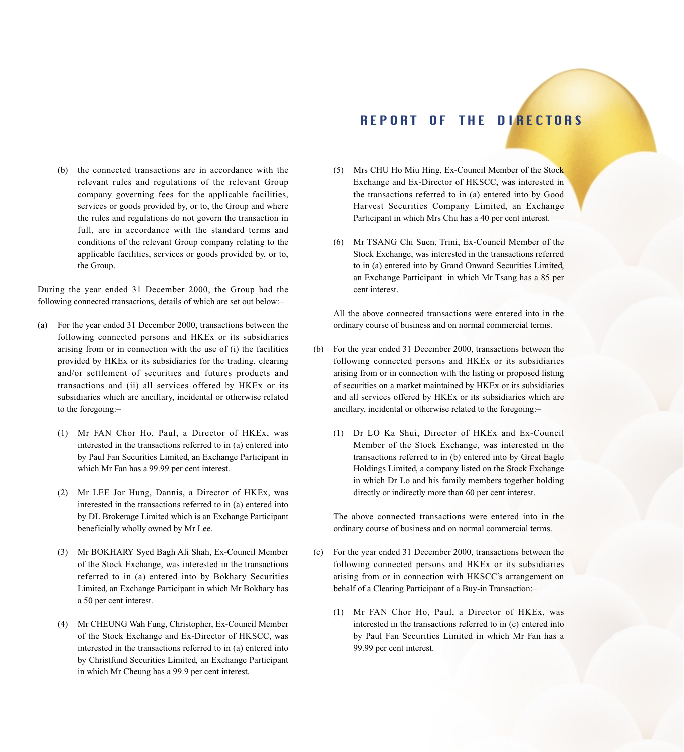(b) the connected transactions are in accordance with the relevant rules and regulations of the relevant Group company governing fees for the applicable facilities, services or goods provided by, or to, the Group and where the rules and regulations do not govern the transaction in full, are in accordance with the standard terms and conditions of the relevant Group company relating to the applicable facilities, services or goods provided by, or to, the Group.

During the year ended 31 December 2000, the Group had the following connected transactions, details of which are set out below:–

- (a) For the year ended 31 December 2000, transactions between the following connected persons and HKEx or its subsidiaries arising from or in connection with the use of (i) the facilities provided by HKEx or its subsidiaries for the trading, clearing and/or settlement of securities and futures products and transactions and (ii) all services offered by HKEx or its subsidiaries which are ancillary, incidental or otherwise related to the foregoing:–
	- (1) Mr FAN Chor Ho, Paul, a Director of HKEx, was interested in the transactions referred to in (a) entered into by Paul Fan Securities Limited, an Exchange Participant in which Mr Fan has a 99.99 per cent interest.
	- (2) Mr LEE Jor Hung, Dannis, a Director of HKEx, was interested in the transactions referred to in (a) entered into by DL Brokerage Limited which is an Exchange Participant beneficially wholly owned by Mr Lee.
	- (3) Mr BOKHARY Syed Bagh Ali Shah, Ex-Council Member of the Stock Exchange, was interested in the transactions referred to in (a) entered into by Bokhary Securities Limited, an Exchange Participant in which Mr Bokhary has a 50 per cent interest.
	- (4) Mr CHEUNG Wah Fung, Christopher, Ex-Council Member of the Stock Exchange and Ex-Director of HKSCC, was interested in the transactions referred to in (a) entered into by Christfund Securities Limited, an Exchange Participant in which Mr Cheung has a 99.9 per cent interest.
- (5) Mrs CHU Ho Miu Hing, Ex-Council Member of the Stock Exchange and Ex-Director of HKSCC, was interested in the transactions referred to in (a) entered into by Good Harvest Securities Company Limited, an Exchange Participant in which Mrs Chu has a 40 per cent interest.
- (6) Mr TSANG Chi Suen, Trini, Ex-Council Member of the Stock Exchange, was interested in the transactions referred to in (a) entered into by Grand Onward Securities Limited, an Exchange Participant in which Mr Tsang has a 85 per cent interest.

All the above connected transactions were entered into in the ordinary course of business and on normal commercial terms.

- (b) For the year ended 31 December 2000, transactions between the following connected persons and HKEx or its subsidiaries arising from or in connection with the listing or proposed listing of securities on a market maintained by HKEx or its subsidiaries and all services offered by HKEx or its subsidiaries which are ancillary, incidental or otherwise related to the foregoing:–
	- (1) Dr LO Ka Shui, Director of HKEx and Ex-Council Member of the Stock Exchange, was interested in the transactions referred to in (b) entered into by Great Eagle Holdings Limited, a company listed on the Stock Exchange in which Dr Lo and his family members together holding directly or indirectly more than 60 per cent interest.

The above connected transactions were entered into in the ordinary course of business and on normal commercial terms.

- (c) For the year ended 31 December 2000, transactions between the following connected persons and HKEx or its subsidiaries arising from or in connection with HKSCC's arrangement on behalf of a Clearing Participant of a Buy-in Transaction:–
	- (1) Mr FAN Chor Ho, Paul, a Director of HKEx, was interested in the transactions referred to in (c) entered into by Paul Fan Securities Limited in which Mr Fan has a 99.99 per cent interest.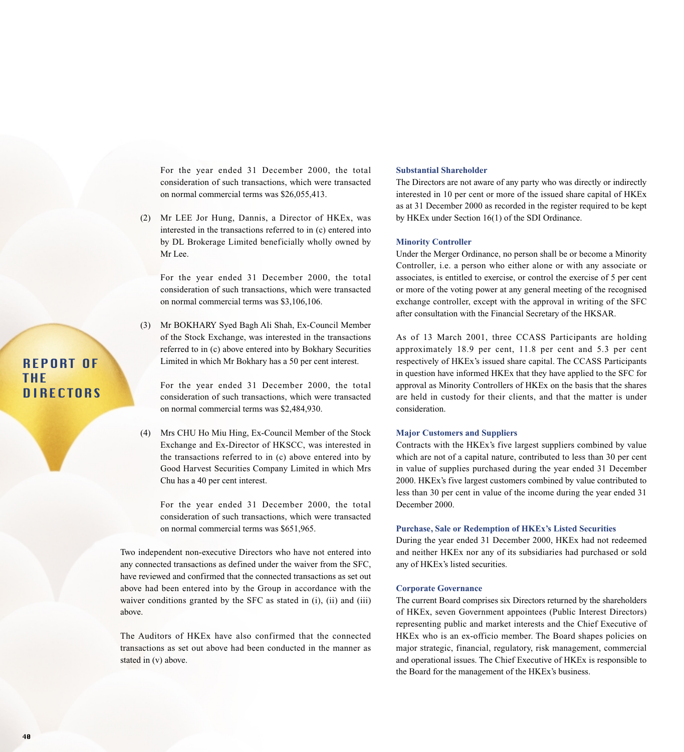For the year ended 31 December 2000, the total consideration of such transactions, which were transacted on normal commercial terms was \$26,055,413.

(2) Mr LEE Jor Hung, Dannis, a Director of HKEx, was interested in the transactions referred to in (c) entered into by DL Brokerage Limited beneficially wholly owned by Mr Lee.

For the year ended 31 December 2000, the total consideration of such transactions, which were transacted on normal commercial terms was \$3,106,106.

(3) Mr BOKHARY Syed Bagh Ali Shah, Ex-Council Member of the Stock Exchange, was interested in the transactions referred to in (c) above entered into by Bokhary Securities Limited in which Mr Bokhary has a 50 per cent interest.

For the year ended 31 December 2000, the total consideration of such transactions, which were transacted on normal commercial terms was \$2,484,930.

(4) Mrs CHU Ho Miu Hing, Ex-Council Member of the Stock Exchange and Ex-Director of HKSCC, was interested in the transactions referred to in (c) above entered into by Good Harvest Securities Company Limited in which Mrs Chu has a 40 per cent interest.

For the year ended 31 December 2000, the total consideration of such transactions, which were transacted on normal commercial terms was \$651,965.

Two independent non-executive Directors who have not entered into any connected transactions as defined under the waiver from the SFC, have reviewed and confirmed that the connected transactions as set out above had been entered into by the Group in accordance with the waiver conditions granted by the SFC as stated in (i), (ii) and (iii) above.

The Auditors of HKEx have also confirmed that the connected transactions as set out above had been conducted in the manner as stated in (v) above.

## **Substantial Shareholder**

The Directors are not aware of any party who was directly or indirectly interested in 10 per cent or more of the issued share capital of HKEx as at 31 December 2000 as recorded in the register required to be kept by HKEx under Section 16(1) of the SDI Ordinance.

#### **Minority Controller**

Under the Merger Ordinance, no person shall be or become a Minority Controller, i.e. a person who either alone or with any associate or associates, is entitled to exercise, or control the exercise of 5 per cent or more of the voting power at any general meeting of the recognised exchange controller, except with the approval in writing of the SFC after consultation with the Financial Secretary of the HKSAR.

As of 13 March 2001, three CCASS Participants are holding approximately 18.9 per cent, 11.8 per cent and 5.3 per cent respectively of HKEx's issued share capital. The CCASS Participants in question have informed HKEx that they have applied to the SFC for approval as Minority Controllers of HKEx on the basis that the shares are held in custody for their clients, and that the matter is under consideration.

### **Major Customers and Suppliers**

Contracts with the HKEx's five largest suppliers combined by value which are not of a capital nature, contributed to less than 30 per cent in value of supplies purchased during the year ended 31 December 2000. HKEx's five largest customers combined by value contributed to less than 30 per cent in value of the income during the year ended 31 December 2000.

### **Purchase, Sale or Redemption of HKEx's Listed Securities**

During the year ended 31 December 2000, HKEx had not redeemed and neither HKEx nor any of its subsidiaries had purchased or sold any of HKEx's listed securities.

### **Corporate Governance**

The current Board comprises six Directors returned by the shareholders of HKEx, seven Government appointees (Public Interest Directors) representing public and market interests and the Chief Executive of HKEx who is an ex-officio member. The Board shapes policies on major strategic, financial, regulatory, risk management, commercial and operational issues. The Chief Executive of HKEx is responsible to the Board for the management of the HKEx's business.

# REPORT OF THE **DIRECTORS**